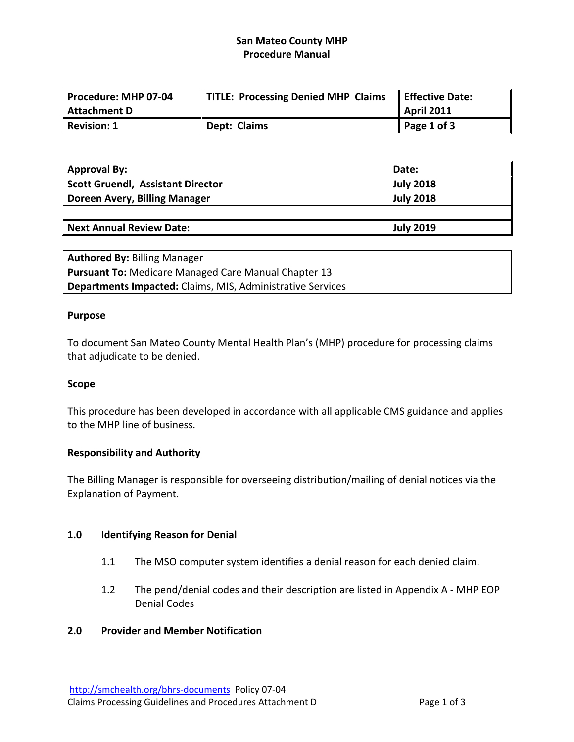# **San Mateo County MHP Procedure Manual**

| Procedure: MHP 07-04 | TITLE: Processing Denied MHP Claims | Effective Date:     |
|----------------------|-------------------------------------|---------------------|
| Attachment D         |                                     | April 2011          |
| Revision: 1          | Dept: Claims                        | $\vert$ Page 1 of 3 |

| <b>Approval By:</b>                      | Date:            |
|------------------------------------------|------------------|
| <b>Scott Gruendl, Assistant Director</b> | <b>July 2018</b> |
| Doreen Avery, Billing Manager            | <b>July 2018</b> |
|                                          |                  |
| <b>Next Annual Review Date:</b>          | <b>July 2019</b> |

| <b>Authored By: Billing Manager</b>                               |
|-------------------------------------------------------------------|
| <b>Pursuant To: Medicare Managed Care Manual Chapter 13</b>       |
| <b>Departments Impacted:</b> Claims, MIS, Administrative Services |

### **Purpose**

To document San Mateo County Mental Health Plan's (MHP) procedure for processing claims that adjudicate to be denied.

# **Scope**

This procedure has been developed in accordance with all applicable CMS guidance and applies to the MHP line of business.

# **Responsibility and Authority**

The Billing Manager is responsible for overseeing distribution/mailing of denial notices via the Explanation of Payment.

#### **1.0 Identifying Reason for Denial**

- 1.1 The MSO computer system identifies a denial reason for each denied claim.
- 1.2 The pend/denial codes and their description are listed in Appendix A ‐ MHP EOP Denial Codes

# **2.0 Provider and Member Notification**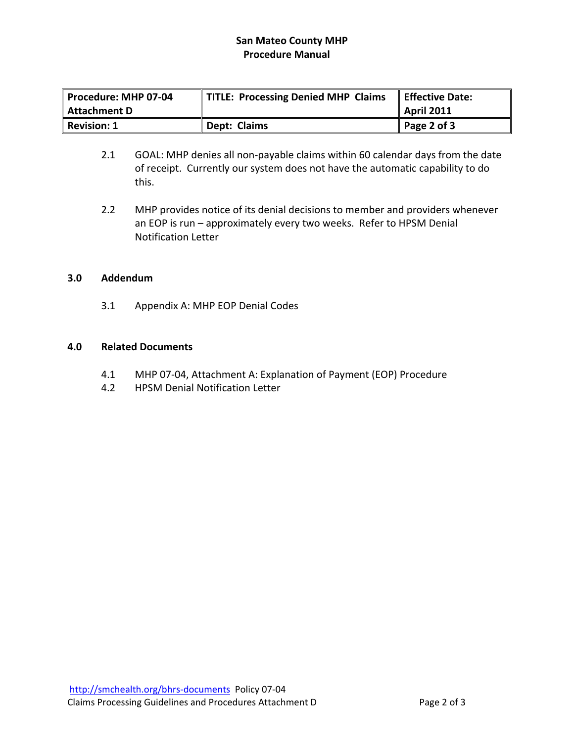# **San Mateo County MHP Procedure Manual**

| Procedure: MHP 07-04 P | <b>TITLE: Processing Denied MHP Claims</b> | <b>Effective Date:</b> |
|------------------------|--------------------------------------------|------------------------|
| Attachment D           |                                            | <b>April 2011</b>      |
| Revision: 1            | Dept: Claims                               | $\vert$ Page 2 of 3    |

- 2.1 GOAL: MHP denies all non-payable claims within 60 calendar days from the date of receipt. Currently our system does not have the automatic capability to do this.
- 2.2 MHP provides notice of its denial decisions to member and providers whenever an EOP is run – approximately every two weeks. Refer to HPSM Denial Notification Letter

### **3.0 Addendum**

3.1 Appendix A: MHP EOP Denial Codes

# **4.0 Related Documents**

- 4.1 MHP 07‐04, Attachment A: Explanation of Payment (EOP) Procedure
- 4.2 HPSM Denial Notification Letter